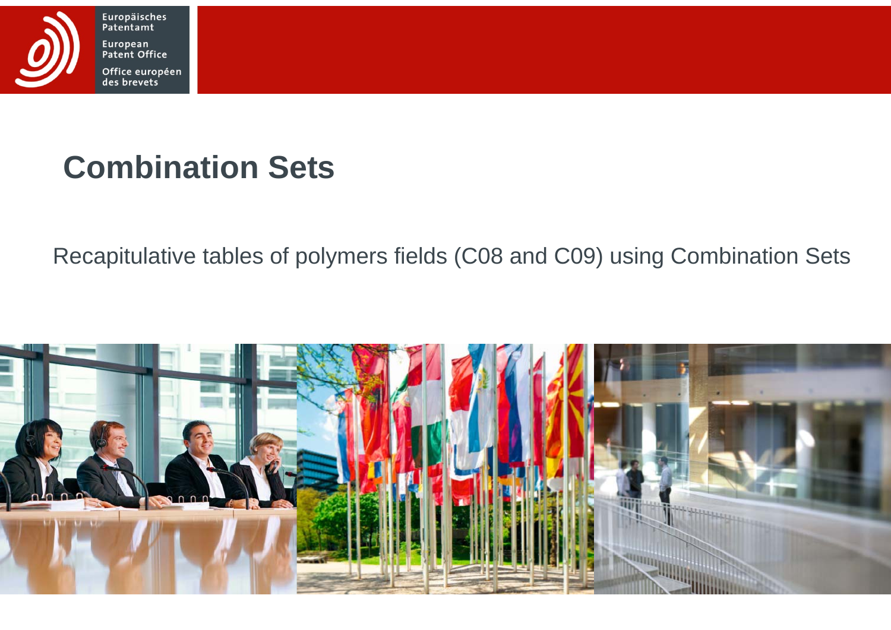

Europäisches<br>Patentamt European Patent Office Office européen<br>des brevets

# **Combination Sets**

Recapitulative tables of polymers fields (C08 and C09) using Combination Sets

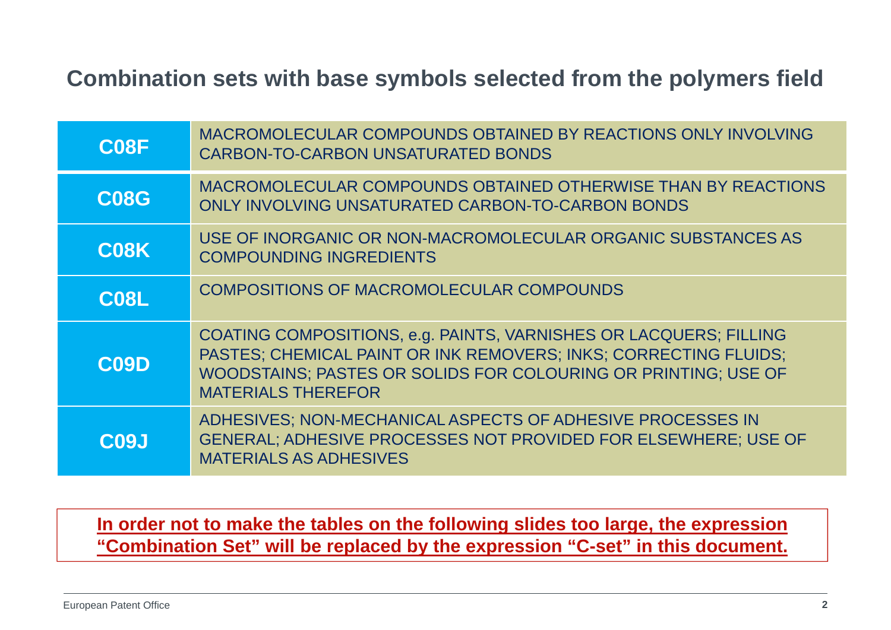#### **Combination sets with base symbols selected from the polymers field**

| C <sub>08</sub> F | MACROMOLECULAR COMPOUNDS OBTAINED BY REACTIONS ONLY INVOLVING<br><b>CARBON-TO-CARBON UNSATURATED BONDS</b>                                                                                                                           |
|-------------------|--------------------------------------------------------------------------------------------------------------------------------------------------------------------------------------------------------------------------------------|
| <b>C08G</b>       | MACROMOLECULAR COMPOUNDS OBTAINED OTHERWISE THAN BY REACTIONS<br>ONLY INVOLVING UNSATURATED CARBON-TO-CARBON BONDS                                                                                                                   |
| C <sub>08</sub> K | USE OF INORGANIC OR NON-MACROMOLECULAR ORGANIC SUBSTANCES AS<br><b>COMPOUNDING INGREDIENTS</b>                                                                                                                                       |
| C <sub>08</sub> L | COMPOSITIONS OF MACROMOLECULAR COMPOUNDS                                                                                                                                                                                             |
| <b>C09D</b>       | COATING COMPOSITIONS, e.g. PAINTS, VARNISHES OR LACQUERS; FILLING<br>PASTES; CHEMICAL PAINT OR INK REMOVERS; INKS; CORRECTING FLUIDS;<br>WOODSTAINS; PASTES OR SOLIDS FOR COLOURING OR PRINTING; USE OF<br><b>MATERIALS THEREFOR</b> |
| C <sub>09</sub> J | ADHESIVES; NON-MECHANICAL ASPECTS OF ADHESIVE PROCESSES IN<br>GENERAL; ADHESIVE PROCESSES NOT PROVIDED FOR ELSEWHERE; USE OF<br><b>MATERIALS AS ADHESIVES</b>                                                                        |

#### **In order not to make the tables on the following slides too large, the expression "Combination Set" will be replaced by the expression "C-set" in this document.**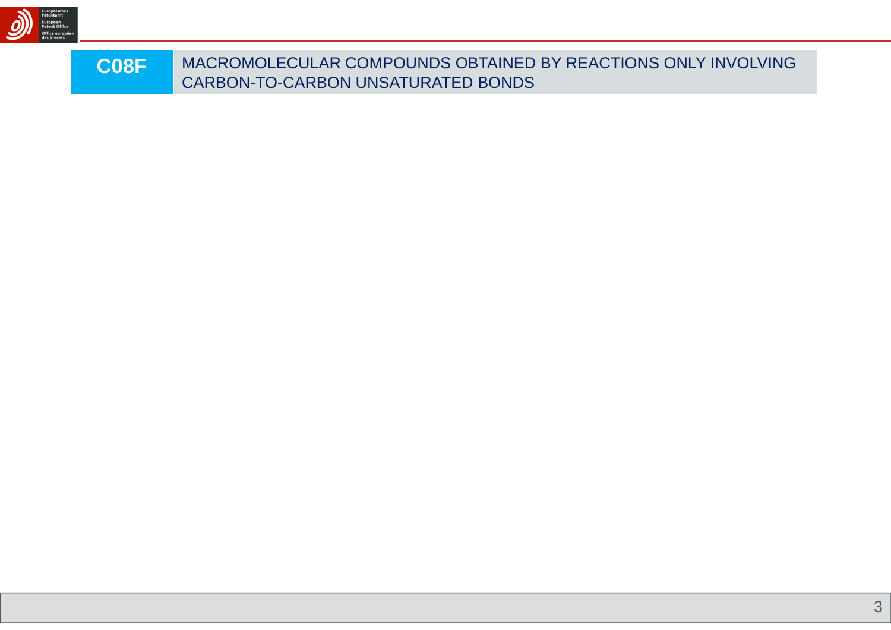

| <b>C08F</b> | MACROMOLECULAR COMPOUNDS OBTAINED BY REACTIONS ONLY INVOLVING |
|-------------|---------------------------------------------------------------|
|             | CARBON-TO-CARBON UNSATURATED BONDS                            |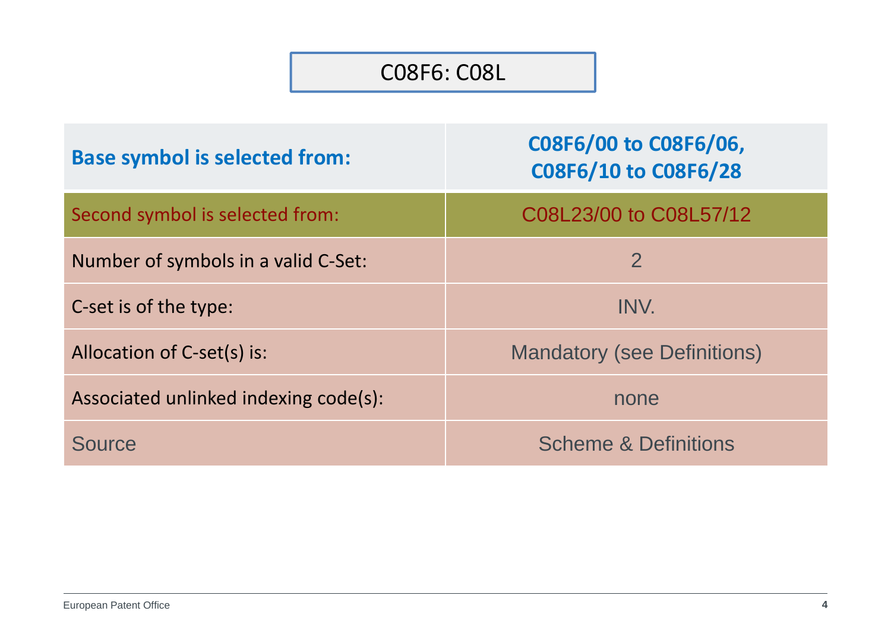#### C08F6: C08L

| <b>Base symbol is selected from:</b>  | C08F6/00 to C08F6/06,<br>C08F6/10 to C08F6/28 |
|---------------------------------------|-----------------------------------------------|
| Second symbol is selected from:       | C08L23/00 to C08L57/12                        |
| Number of symbols in a valid C-Set:   | $\overline{2}$                                |
| C-set is of the type:                 | INV.                                          |
| Allocation of C-set(s) is:            | <b>Mandatory (see Definitions)</b>            |
| Associated unlinked indexing code(s): | none                                          |
| Source                                | <b>Scheme &amp; Definitions</b>               |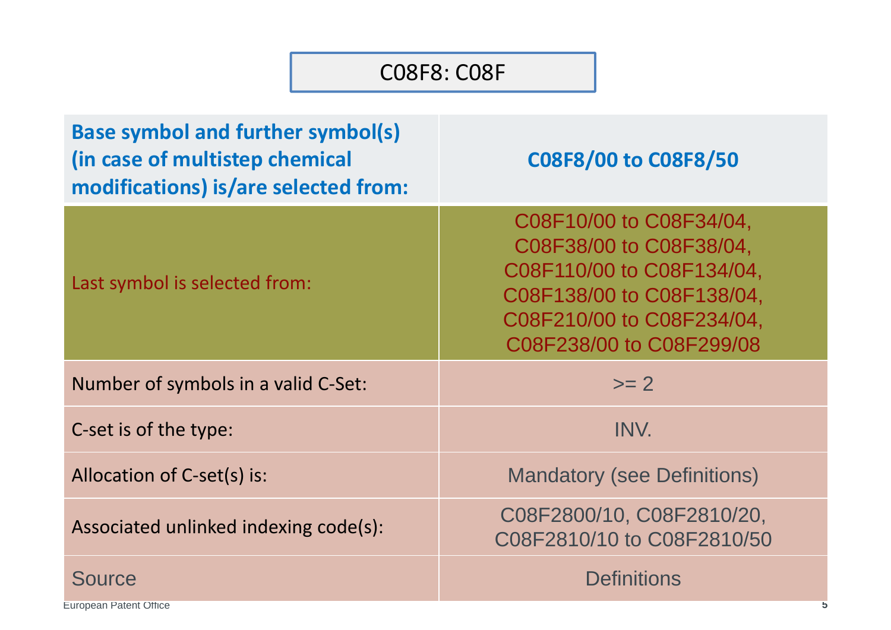#### C08F8: C08F

| <b>Base symbol and further symbol(s)</b><br>(in case of multistep chemical<br>modifications) is/are selected from: | C08F8/00 to C08F8/50                                                                                                                                                  |
|--------------------------------------------------------------------------------------------------------------------|-----------------------------------------------------------------------------------------------------------------------------------------------------------------------|
| Last symbol is selected from:                                                                                      | C08F10/00 to C08F34/04,<br>C08F38/00 to C08F38/04,<br>C08F110/00 to C08F134/04,<br>C08F138/00 to C08F138/04,<br>C08F210/00 to C08F234/04,<br>C08F238/00 to C08F299/08 |
| Number of symbols in a valid C-Set:                                                                                | $>= 2$                                                                                                                                                                |
| C-set is of the type:                                                                                              | INV.                                                                                                                                                                  |
| Allocation of C-set(s) is:                                                                                         | <b>Mandatory (see Definitions)</b>                                                                                                                                    |
| Associated unlinked indexing code(s):                                                                              | C08F2800/10, C08F2810/20,<br>C08F2810/10 to C08F2810/50                                                                                                               |
| <b>Source</b><br><b>European Patent Office</b>                                                                     | <b>Definitions</b><br>5                                                                                                                                               |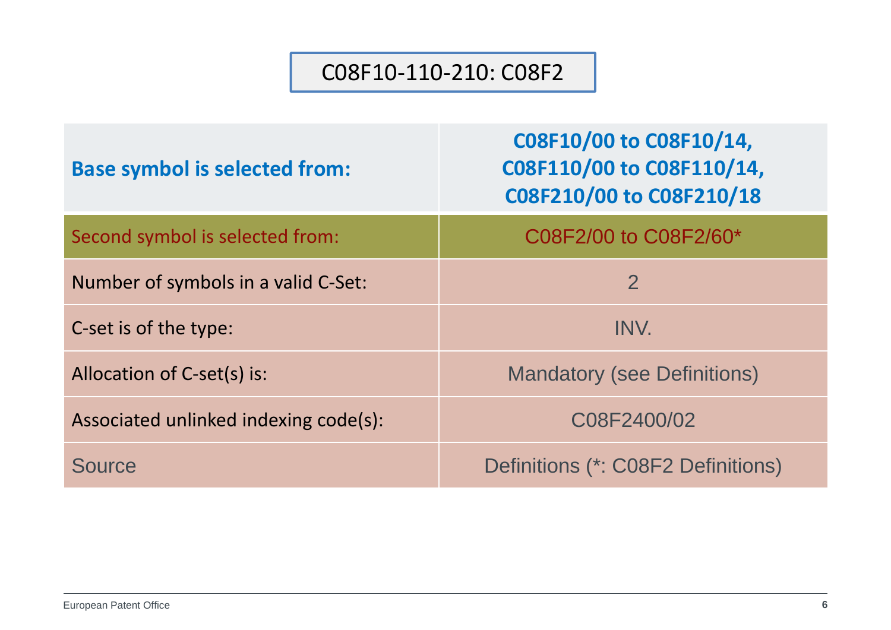#### C08F10‐110‐210: C08F2

| <b>Base symbol is selected from:</b>  | C08F10/00 to C08F10/14,<br>C08F110/00 to C08F110/14,<br>C08F210/00 to C08F210/18 |
|---------------------------------------|----------------------------------------------------------------------------------|
| Second symbol is selected from:       | C08F2/00 to C08F2/60*                                                            |
| Number of symbols in a valid C-Set:   | $\overline{2}$                                                                   |
| C-set is of the type:                 | INV.                                                                             |
| Allocation of C-set(s) is:            | <b>Mandatory (see Definitions)</b>                                               |
| Associated unlinked indexing code(s): | C08F2400/02                                                                      |
| <b>Source</b>                         | Definitions (*: C08F2 Definitions)                                               |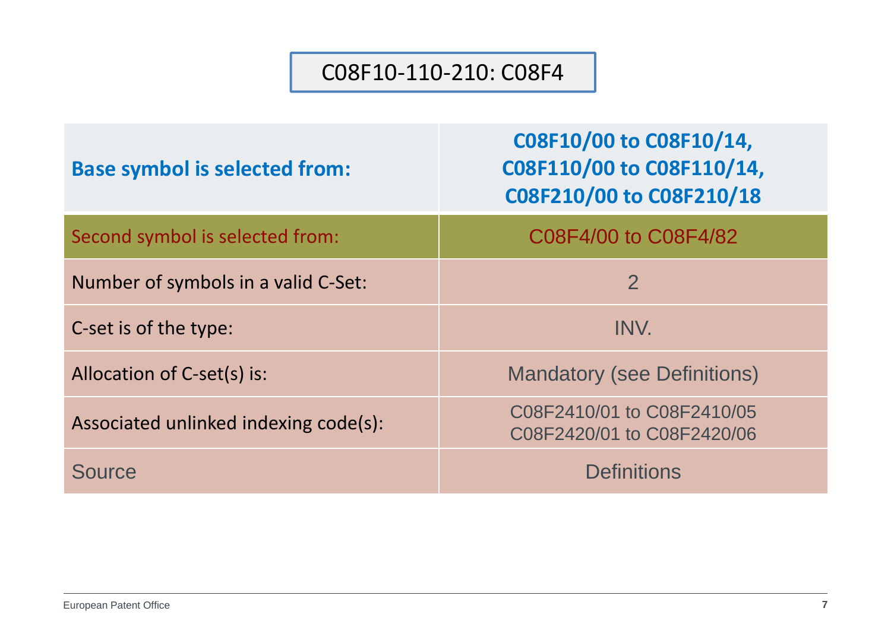#### C08F10‐110‐210: C08F4

| <b>Base symbol is selected from:</b>  | C08F10/00 to C08F10/14,<br>C08F110/00 to C08F110/14,<br>C08F210/00 to C08F210/18 |
|---------------------------------------|----------------------------------------------------------------------------------|
| Second symbol is selected from:       | C08F4/00 to C08F4/82                                                             |
| Number of symbols in a valid C-Set:   | $\overline{2}$                                                                   |
| C-set is of the type:                 | INV.                                                                             |
| Allocation of C-set(s) is:            | <b>Mandatory (see Definitions)</b>                                               |
| Associated unlinked indexing code(s): | C08F2410/01 to C08F2410/05<br>C08F2420/01 to C08F2420/06                         |
| <b>Source</b>                         | <b>Definitions</b>                                                               |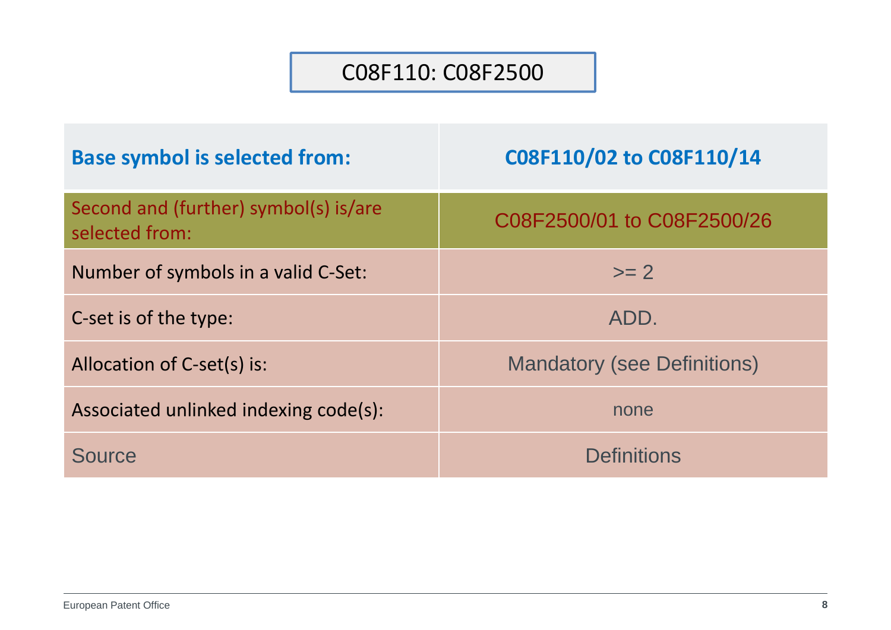#### C08F110: C08F2500

| <b>Base symbol is selected from:</b>                    | C08F110/02 to C08F110/14           |
|---------------------------------------------------------|------------------------------------|
| Second and (further) symbol(s) is/are<br>selected from: | C08F2500/01 to C08F2500/26         |
| Number of symbols in a valid C-Set:                     | $\mathsf{>=}2$                     |
| C-set is of the type:                                   | ADD.                               |
| Allocation of C-set(s) is:                              | <b>Mandatory (see Definitions)</b> |
| Associated unlinked indexing code(s):                   | none                               |
| Source                                                  | <b>Definitions</b>                 |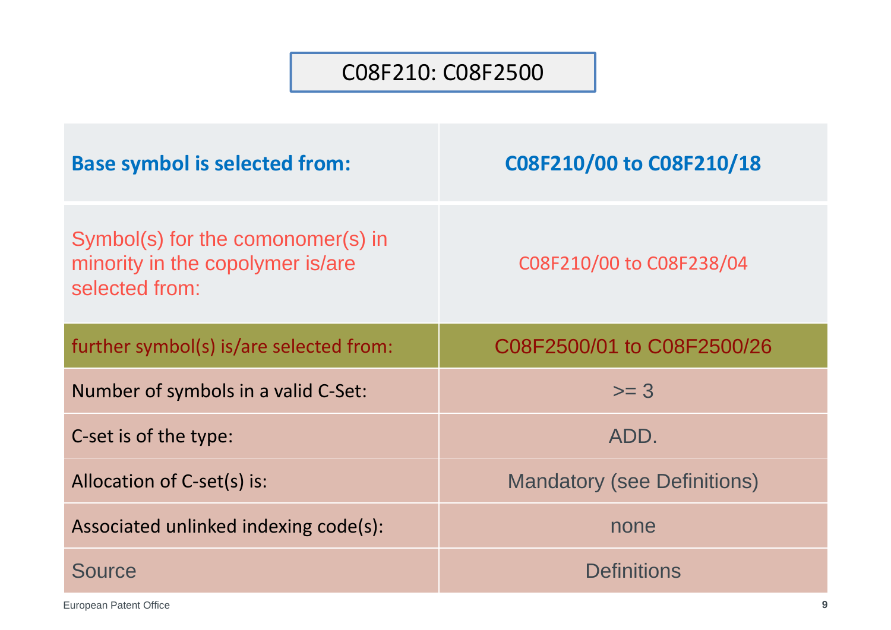#### C08F210: C08F2500

| <b>Base symbol is selected from:</b>                                                    | C08F210/00 to C08F210/18           |
|-----------------------------------------------------------------------------------------|------------------------------------|
| Symbol(s) for the comonomer(s) in<br>minority in the copolymer is/are<br>selected from: | C08F210/00 to C08F238/04           |
| further symbol(s) is/are selected from:                                                 | C08F2500/01 to C08F2500/26         |
|                                                                                         |                                    |
| Number of symbols in a valid C-Set:                                                     | $>= 3$                             |
| C-set is of the type:                                                                   | ADD.                               |
| Allocation of C-set(s) is:                                                              | <b>Mandatory (see Definitions)</b> |
| Associated unlinked indexing code(s):                                                   | none                               |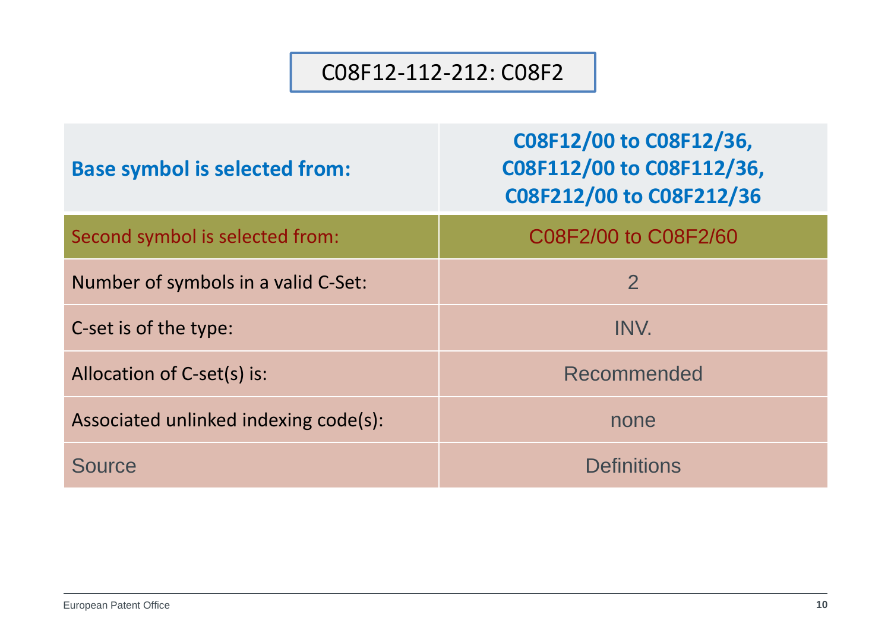#### C08F12‐112‐212: C08F2

| <b>Base symbol is selected from:</b>  | C08F12/00 to C08F12/36,<br>C08F112/00 to C08F112/36,<br>C08F212/00 to C08F212/36 |
|---------------------------------------|----------------------------------------------------------------------------------|
| Second symbol is selected from:       | C08F2/00 to C08F2/60                                                             |
| Number of symbols in a valid C-Set:   | $\overline{2}$                                                                   |
| C-set is of the type:                 | INV.                                                                             |
| Allocation of C-set(s) is:            | Recommended                                                                      |
| Associated unlinked indexing code(s): | none                                                                             |
| <b>Source</b>                         | <b>Definitions</b>                                                               |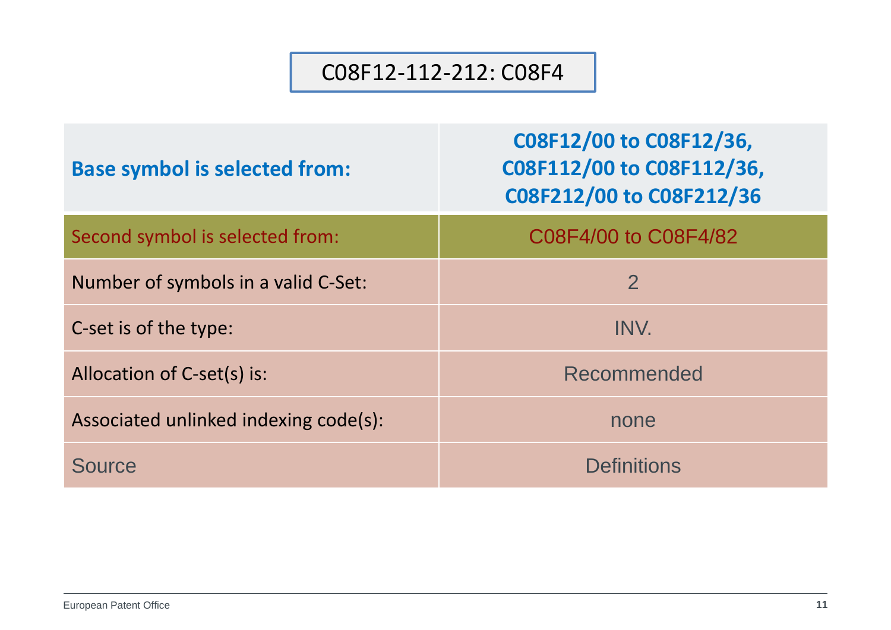#### C08F12‐112‐212: C08F4

| <b>Base symbol is selected from:</b>  | C08F12/00 to C08F12/36,<br>C08F112/00 to C08F112/36,<br>C08F212/00 to C08F212/36 |
|---------------------------------------|----------------------------------------------------------------------------------|
| Second symbol is selected from:       | C08F4/00 to C08F4/82                                                             |
| Number of symbols in a valid C-Set:   | $\overline{2}$                                                                   |
| C-set is of the type:                 | INV.                                                                             |
| Allocation of C-set(s) is:            | Recommended                                                                      |
| Associated unlinked indexing code(s): | none                                                                             |
| <b>Source</b>                         | <b>Definitions</b>                                                               |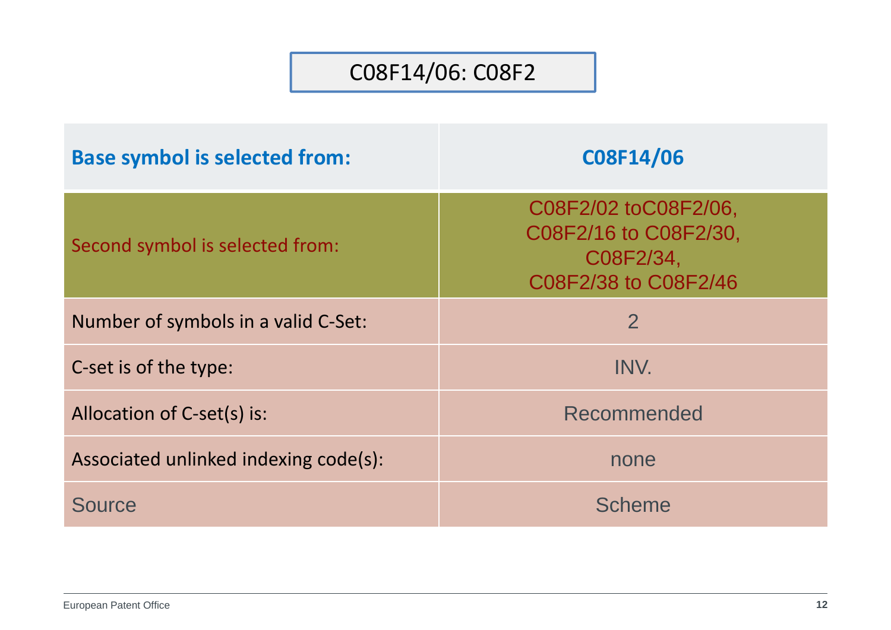### C08F14/06: C08F2

| <b>Base symbol is selected from:</b>  | C08F14/06                                                                          |
|---------------------------------------|------------------------------------------------------------------------------------|
| Second symbol is selected from:       | C08F2/02 toC08F2/06,<br>C08F2/16 to C08F2/30,<br>C08F2/34,<br>C08F2/38 to C08F2/46 |
| Number of symbols in a valid C-Set:   | $\overline{2}$                                                                     |
| C-set is of the type:                 | INV.                                                                               |
| Allocation of C-set(s) is:            | Recommended                                                                        |
| Associated unlinked indexing code(s): | none                                                                               |
| <b>Source</b>                         | <b>Scheme</b>                                                                      |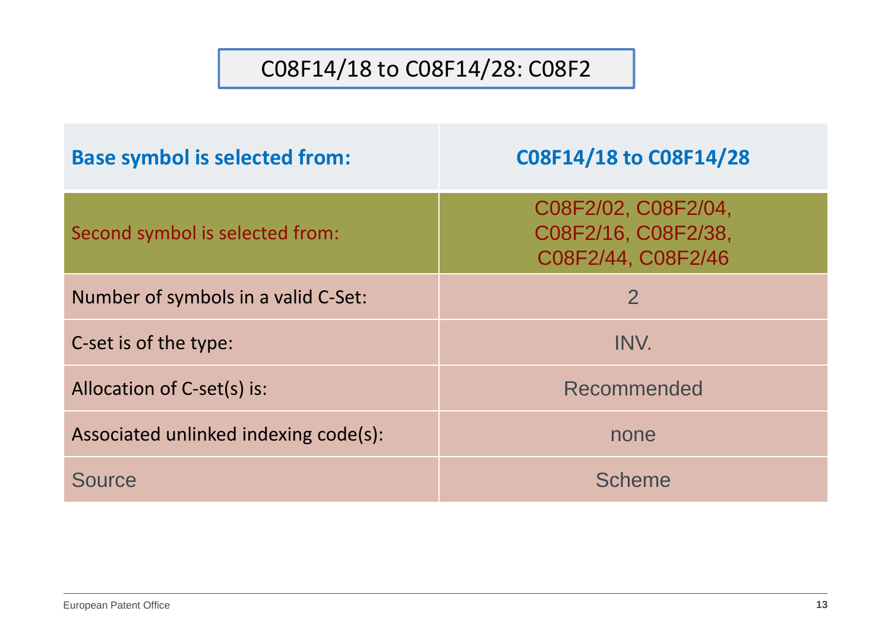### C08F14/18 to C08F14/28: C08F2

| <b>Base symbol is selected from:</b>  | C08F14/18 to C08F14/28                                           |
|---------------------------------------|------------------------------------------------------------------|
| Second symbol is selected from:       | C08F2/02, C08F2/04,<br>C08F2/16, C08F2/38,<br>C08F2/44, C08F2/46 |
| Number of symbols in a valid C-Set:   | $\overline{2}$                                                   |
| C-set is of the type:                 | INV.                                                             |
| Allocation of C-set(s) is:            | Recommended                                                      |
| Associated unlinked indexing code(s): | none                                                             |
| Source                                | <b>Scheme</b>                                                    |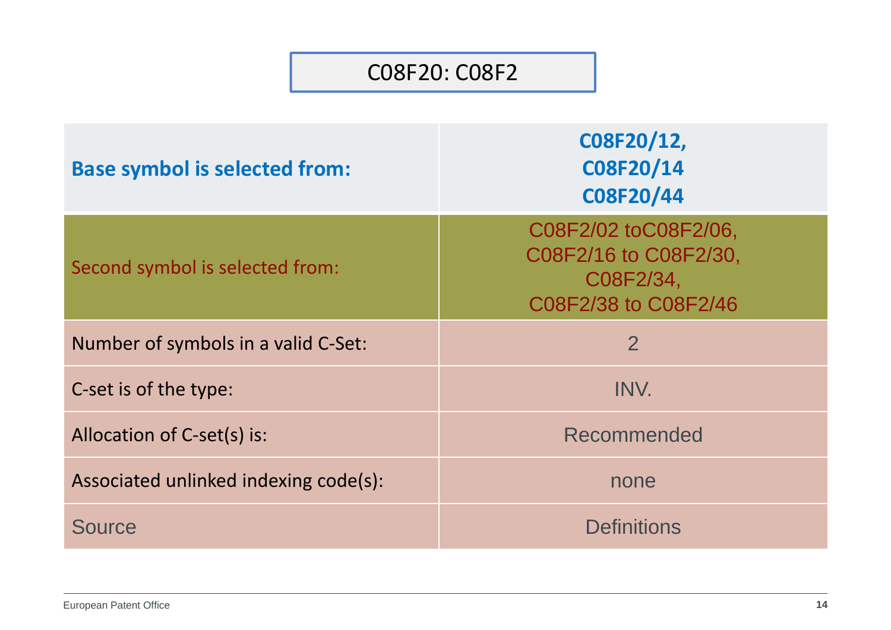#### C08F20: C08F2

| <b>Base symbol is selected from:</b>  | C08F20/12,<br>C08F20/14<br>C08F20/44                                               |
|---------------------------------------|------------------------------------------------------------------------------------|
| Second symbol is selected from:       | C08F2/02 toC08F2/06,<br>C08F2/16 to C08F2/30,<br>C08F2/34,<br>C08F2/38 to C08F2/46 |
| Number of symbols in a valid C-Set:   | $\overline{2}$                                                                     |
| C-set is of the type:                 | INV.                                                                               |
| Allocation of C-set(s) is:            | Recommended                                                                        |
| Associated unlinked indexing code(s): | none                                                                               |
| <b>Source</b>                         | <b>Definitions</b>                                                                 |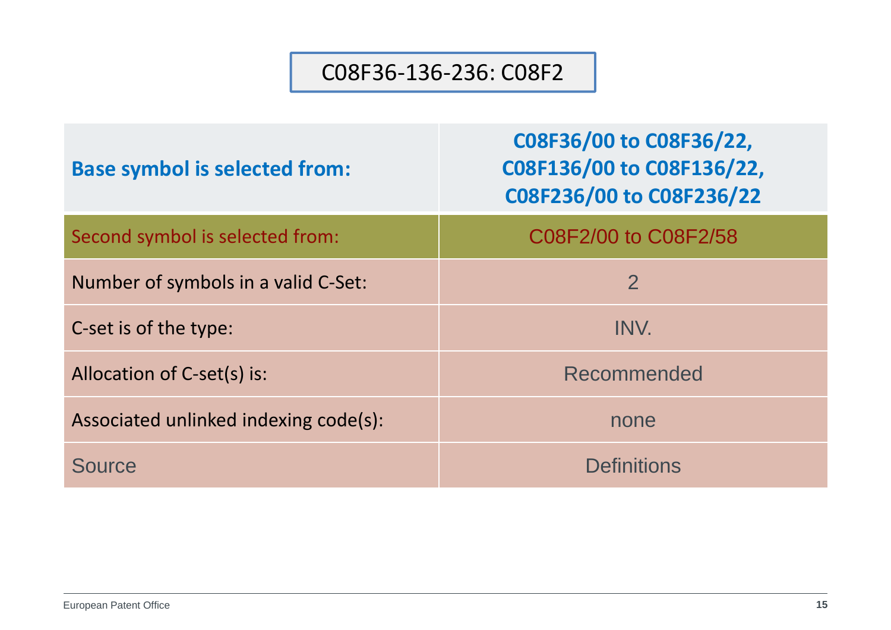#### C08F36‐136‐236: C08F2

| <b>Base symbol is selected from:</b>  | C08F36/00 to C08F36/22,<br>C08F136/00 to C08F136/22,<br>C08F236/00 to C08F236/22 |
|---------------------------------------|----------------------------------------------------------------------------------|
| Second symbol is selected from:       | C08F2/00 to C08F2/58                                                             |
| Number of symbols in a valid C-Set:   | $\overline{2}$                                                                   |
| C-set is of the type:                 | INV.                                                                             |
| Allocation of C-set(s) is:            | Recommended                                                                      |
| Associated unlinked indexing code(s): | none                                                                             |
| Source                                | <b>Definitions</b>                                                               |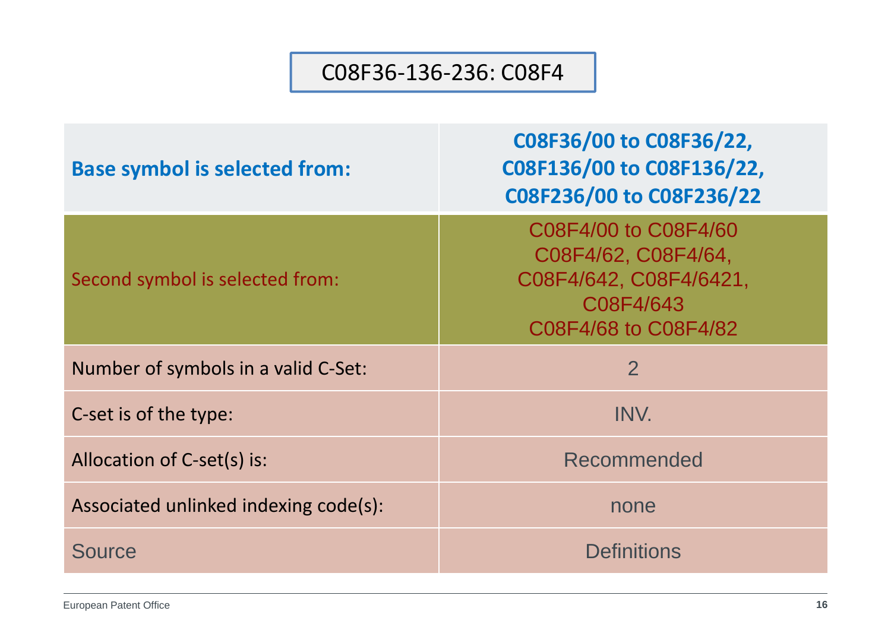#### C08F36‐136‐236: C08F4

| <b>Base symbol is selected from:</b>  | C08F36/00 to C08F36/22,<br>C08F136/00 to C08F136/22,<br>C08F236/00 to C08F236/22                           |
|---------------------------------------|------------------------------------------------------------------------------------------------------------|
| Second symbol is selected from:       | C08F4/00 to C08F4/60<br>C08F4/62, C08F4/64,<br>C08F4/642, C08F4/6421,<br>C08F4/643<br>C08F4/68 to C08F4/82 |
| Number of symbols in a valid C-Set:   | $\overline{2}$                                                                                             |
| C-set is of the type:                 | INV.                                                                                                       |
| Allocation of C-set(s) is:            | Recommended                                                                                                |
| Associated unlinked indexing code(s): | none                                                                                                       |
| <b>Source</b>                         | <b>Definitions</b>                                                                                         |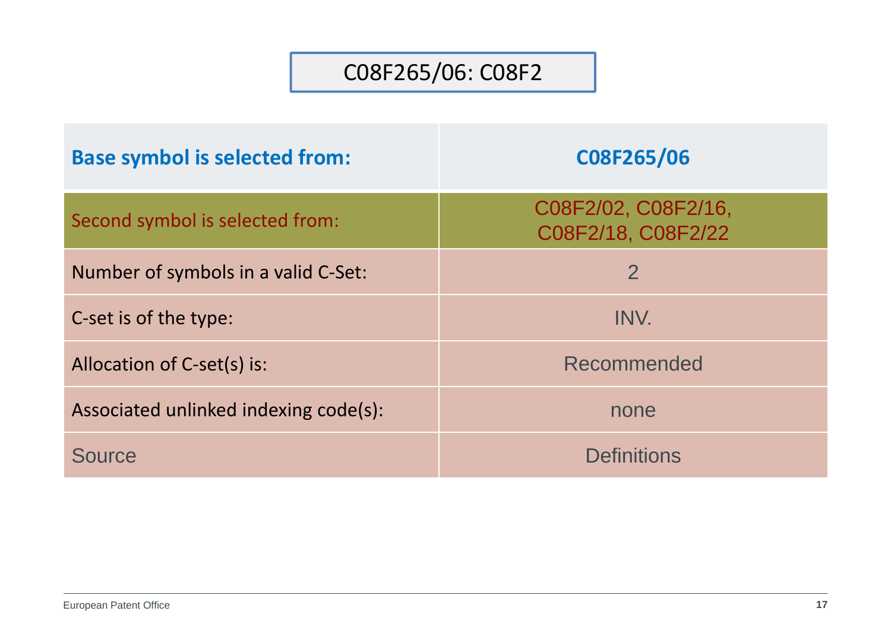## C08F265/06: C08F2

| <b>Base symbol is selected from:</b>  | C08F265/06                                |
|---------------------------------------|-------------------------------------------|
| Second symbol is selected from:       | C08F2/02, C08F2/16,<br>C08F2/18, C08F2/22 |
| Number of symbols in a valid C-Set:   | $\overline{2}$                            |
| C-set is of the type:                 | INV.                                      |
| Allocation of C-set(s) is:            | Recommended                               |
| Associated unlinked indexing code(s): | none                                      |
| Source                                | <b>Definitions</b>                        |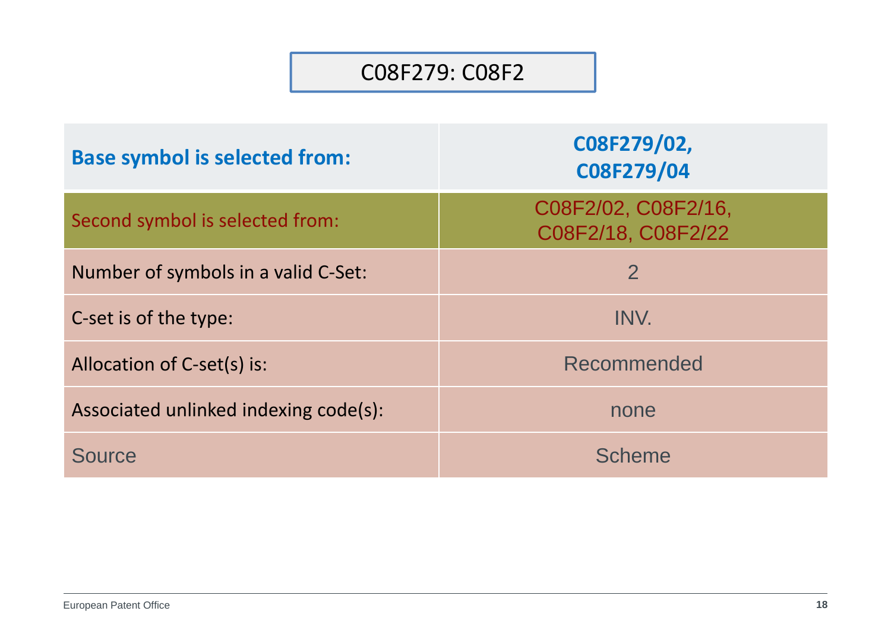#### C08F279: C08F2

| <b>Base symbol is selected from:</b>  | C08F279/02,<br>C08F279/04                 |
|---------------------------------------|-------------------------------------------|
| Second symbol is selected from:       | C08F2/02, C08F2/16,<br>C08F2/18, C08F2/22 |
| Number of symbols in a valid C-Set:   | $\overline{2}$                            |
| C-set is of the type:                 | INV.                                      |
| Allocation of C-set(s) is:            | Recommended                               |
| Associated unlinked indexing code(s): | none                                      |
| Source                                | <b>Scheme</b>                             |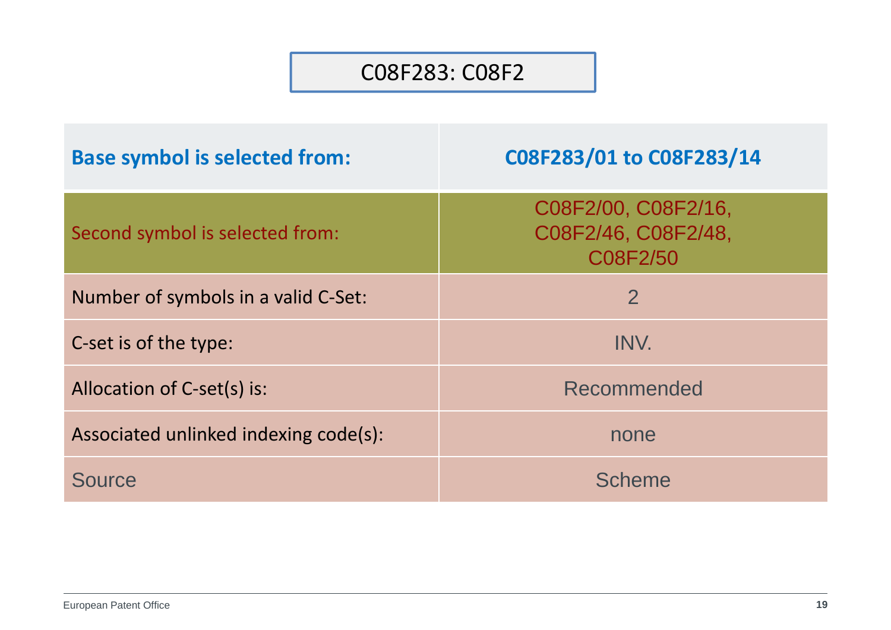#### C08F283: C08F2

| <b>Base symbol is selected from:</b>  | C08F283/01 to C08F283/14                               |
|---------------------------------------|--------------------------------------------------------|
| Second symbol is selected from:       | C08F2/00, C08F2/16,<br>C08F2/46, C08F2/48,<br>C08F2/50 |
| Number of symbols in a valid C-Set:   | $\overline{2}$                                         |
| C-set is of the type:                 | INV.                                                   |
| Allocation of C-set(s) is:            | Recommended                                            |
| Associated unlinked indexing code(s): | none                                                   |
| Source                                | <b>Scheme</b>                                          |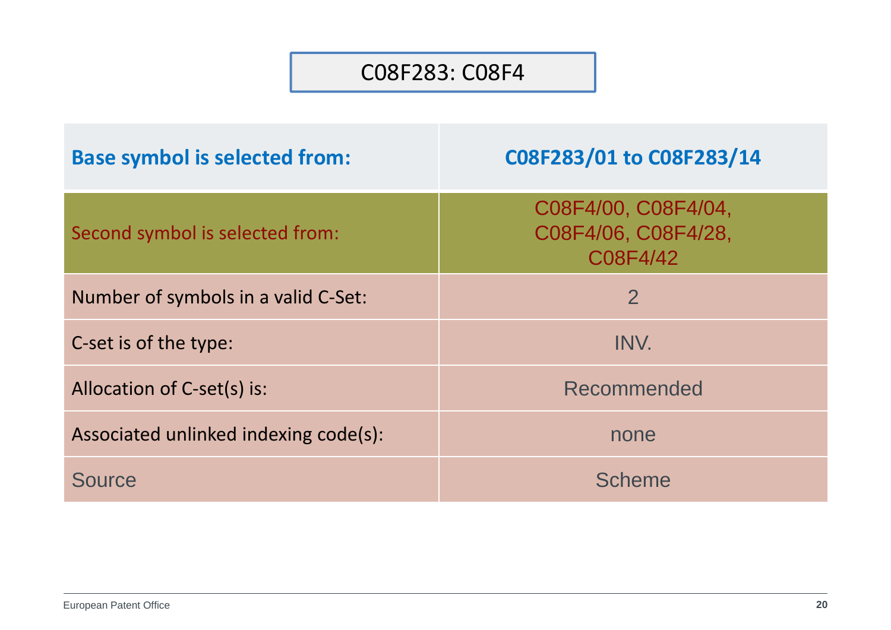#### C08F283: C08F4

| <b>Base symbol is selected from:</b>  | C08F283/01 to C08F283/14                               |
|---------------------------------------|--------------------------------------------------------|
| Second symbol is selected from:       | C08F4/00, C08F4/04,<br>C08F4/06, C08F4/28,<br>C08F4/42 |
| Number of symbols in a valid C-Set:   | $\overline{2}$                                         |
| C-set is of the type:                 | INV.                                                   |
| Allocation of C-set(s) is:            | Recommended                                            |
| Associated unlinked indexing code(s): | none                                                   |
| Source                                | <b>Scheme</b>                                          |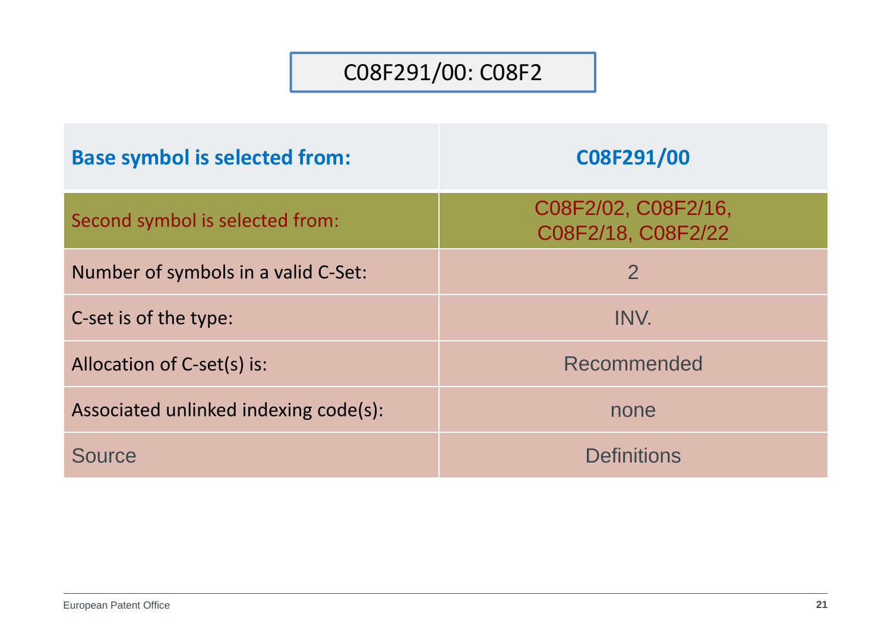### C08F291/00: C08F2

| <b>Base symbol is selected from:</b>  | C08F291/00                                |
|---------------------------------------|-------------------------------------------|
| Second symbol is selected from:       | C08F2/02, C08F2/16,<br>C08F2/18, C08F2/22 |
| Number of symbols in a valid C-Set:   | $\overline{2}$                            |
| C-set is of the type:                 | INV.                                      |
| Allocation of C-set(s) is:            | Recommended                               |
| Associated unlinked indexing code(s): | none                                      |
| Source                                | <b>Definitions</b>                        |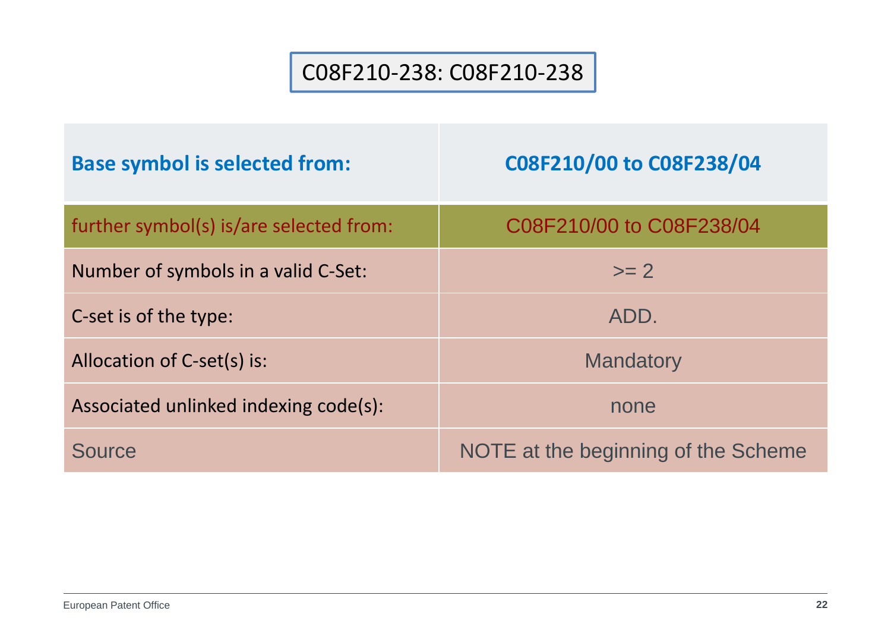### C08F210‐238: C08F210‐238

| <b>Base symbol is selected from:</b>    | C08F210/00 to C08F238/04            |
|-----------------------------------------|-------------------------------------|
| further symbol(s) is/are selected from: | C08F210/00 to C08F238/04            |
| Number of symbols in a valid C-Set:     | $\mathsf{>=}\,2$                    |
| C-set is of the type:                   | ADD.                                |
| Allocation of C-set(s) is:              | <b>Mandatory</b>                    |
| Associated unlinked indexing code(s):   | none                                |
| <b>Source</b>                           | NOTE at the beginning of the Scheme |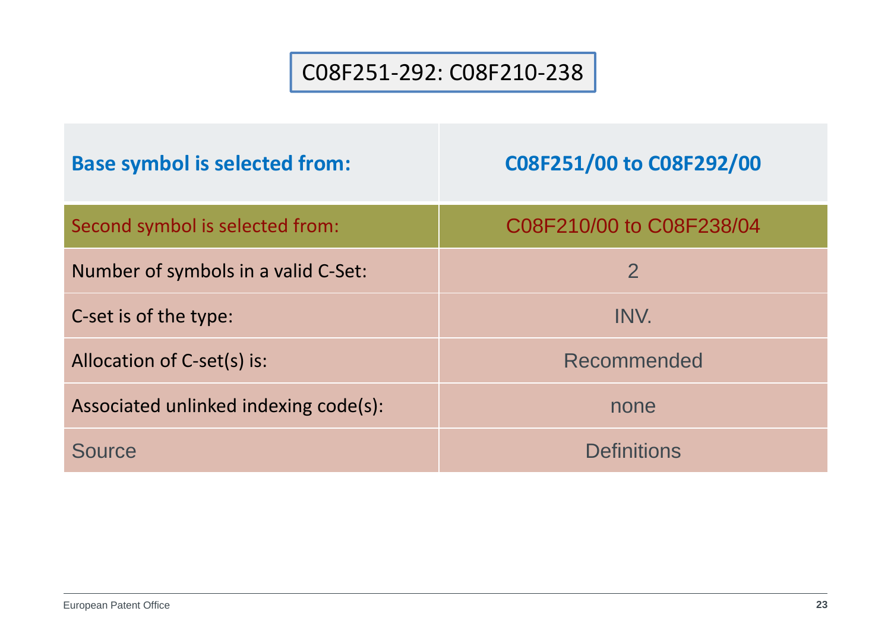### C08F251‐292: C08F210‐238

| <b>Base symbol is selected from:</b>  | C08F251/00 to C08F292/00 |
|---------------------------------------|--------------------------|
| Second symbol is selected from:       | C08F210/00 to C08F238/04 |
| Number of symbols in a valid C-Set:   | 2                        |
| C-set is of the type:                 | INV.                     |
| Allocation of C-set(s) is:            | Recommended              |
| Associated unlinked indexing code(s): | none                     |
| Source                                | <b>Definitions</b>       |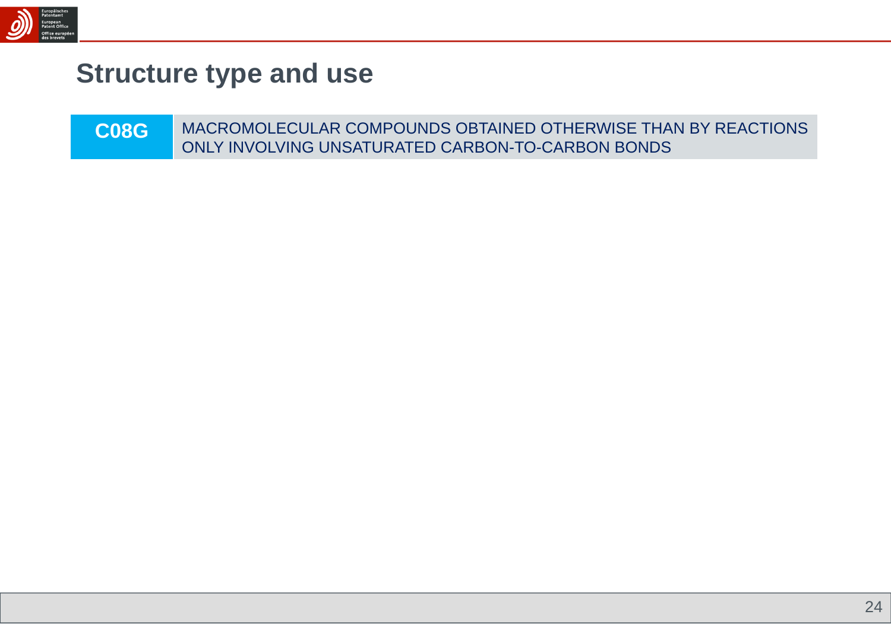

## **Structure type and use**

| <b>C08G</b> | MACROMOLECULAR COMPOUNDS OBTAINED OTHERWISE THAN BY REACTIONS |
|-------------|---------------------------------------------------------------|
|             | ONLY INVOLVING UNSATURATED CARBON-TO-CARBON BONDS             |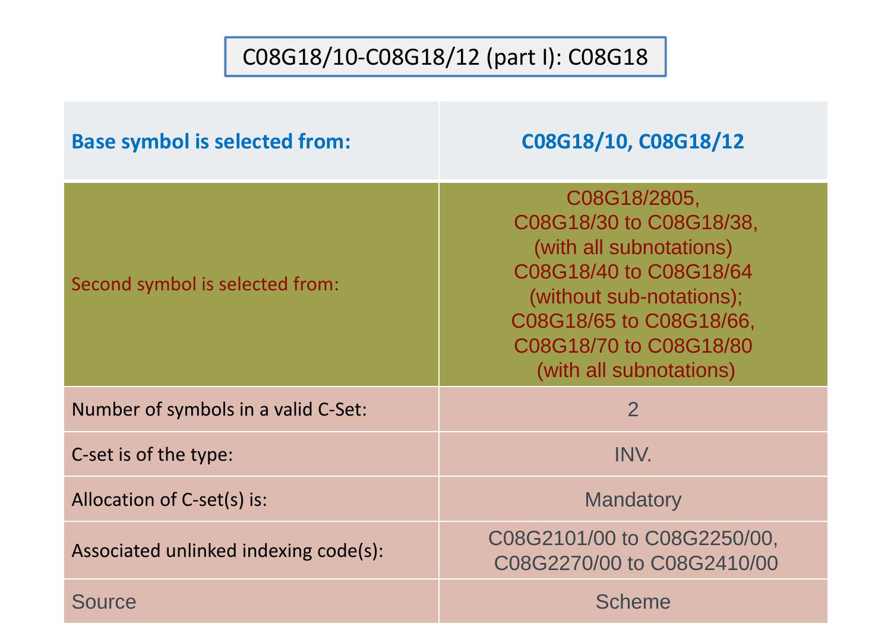## C08G18/10‐C08G18/12 (part I): C08G18

| <b>Base symbol is selected from:</b>  | C08G18/10, C08G18/12                                                                                                                                                                                     |
|---------------------------------------|----------------------------------------------------------------------------------------------------------------------------------------------------------------------------------------------------------|
| Second symbol is selected from:       | C08G18/2805,<br>C08G18/30 to C08G18/38,<br>(with all subnotations)<br>C08G18/40 to C08G18/64<br>(without sub-notations);<br>C08G18/65 to C08G18/66,<br>C08G18/70 to C08G18/80<br>(with all subnotations) |
| Number of symbols in a valid C-Set:   | $\overline{2}$                                                                                                                                                                                           |
| C-set is of the type:                 | INV.                                                                                                                                                                                                     |
| Allocation of C-set(s) is:            | <b>Mandatory</b>                                                                                                                                                                                         |
| Associated unlinked indexing code(s): | C08G2101/00 to C08G2250/00,<br>C08G2270/00 to C08G2410/00                                                                                                                                                |
| <b>Source</b>                         | <b>Scheme</b>                                                                                                                                                                                            |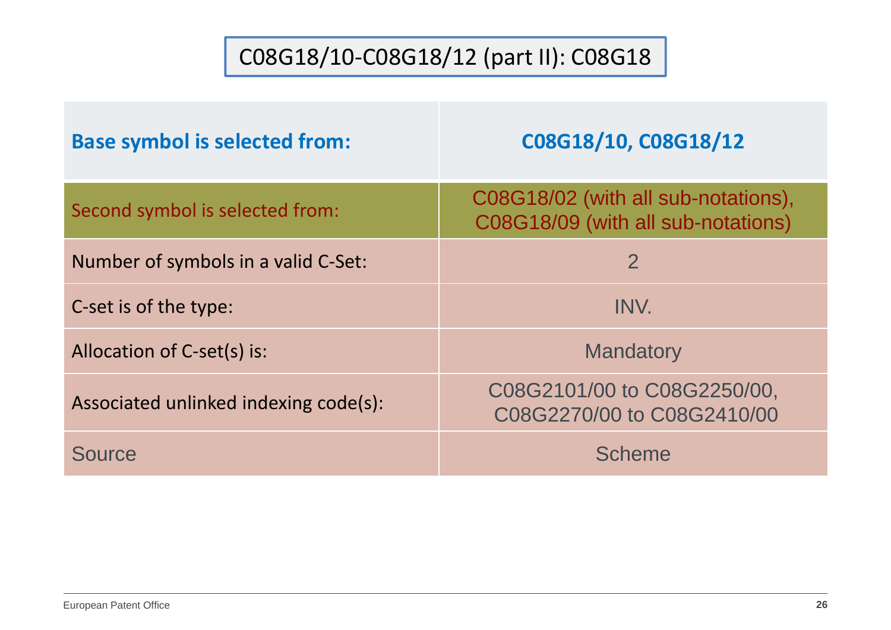## C08G18/10‐C08G18/12 (part II): C08G18

| <b>Base symbol is selected from:</b>  | C08G18/10, C08G18/12                                                      |
|---------------------------------------|---------------------------------------------------------------------------|
| Second symbol is selected from:       | C08G18/02 (with all sub-notations),<br>C08G18/09 (with all sub-notations) |
| Number of symbols in a valid C-Set:   | $\overline{2}$                                                            |
| C-set is of the type:                 | INV.                                                                      |
| Allocation of C-set(s) is:            | <b>Mandatory</b>                                                          |
| Associated unlinked indexing code(s): | C08G2101/00 to C08G2250/00,<br>C08G2270/00 to C08G2410/00                 |
| Source                                | Scheme                                                                    |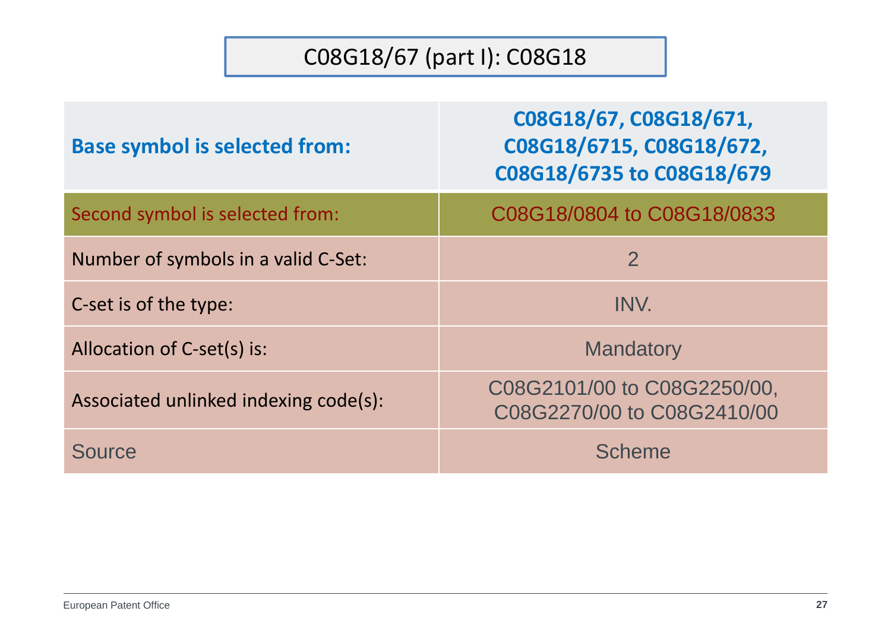## C08G18/67 (part I): C08G18

| <b>Base symbol is selected from:</b>  | C08G18/67, C08G18/671,<br>C08G18/6715, C08G18/672,<br>C08G18/6735 to C08G18/679 |
|---------------------------------------|---------------------------------------------------------------------------------|
| Second symbol is selected from:       | C08G18/0804 to C08G18/0833                                                      |
| Number of symbols in a valid C-Set:   | $\overline{2}$                                                                  |
| C-set is of the type:                 | INV.                                                                            |
| Allocation of C-set(s) is:            | <b>Mandatory</b>                                                                |
| Associated unlinked indexing code(s): | C08G2101/00 to C08G2250/00,<br>C08G2270/00 to C08G2410/00                       |
| <b>Source</b>                         | <b>Scheme</b>                                                                   |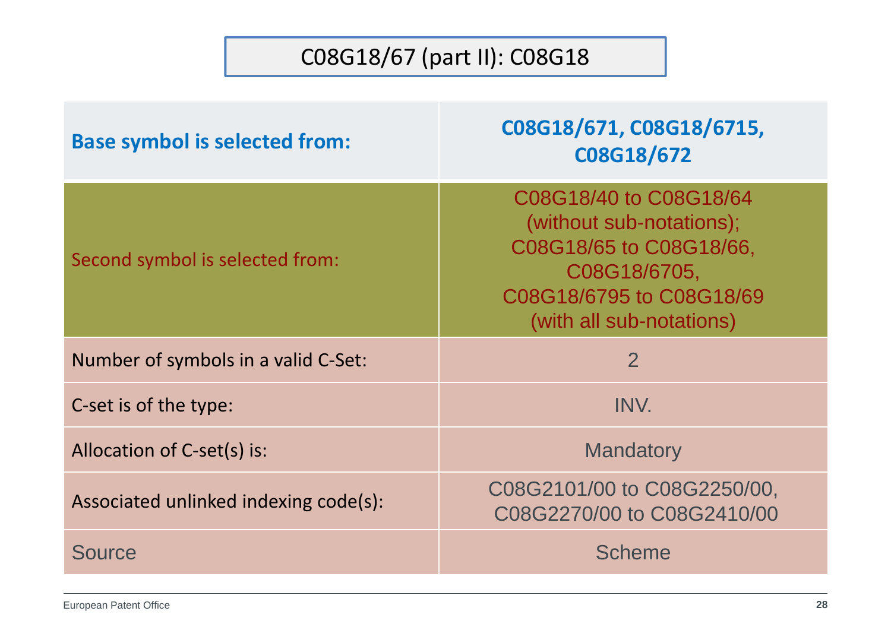## C08G18/67 (part II): C08G18

| <b>Base symbol is selected from:</b>  | C08G18/671, C08G18/6715,<br>C08G18/672                                                                                                                |
|---------------------------------------|-------------------------------------------------------------------------------------------------------------------------------------------------------|
| Second symbol is selected from:       | C08G18/40 to C08G18/64<br>(without sub-notations);<br>C08G18/65 to C08G18/66,<br>C08G18/6705,<br>C08G18/6795 to C08G18/69<br>(with all sub-notations) |
| Number of symbols in a valid C-Set:   | $\overline{2}$                                                                                                                                        |
| C-set is of the type:                 | INV.                                                                                                                                                  |
| Allocation of C-set(s) is:            | <b>Mandatory</b>                                                                                                                                      |
| Associated unlinked indexing code(s): | C08G2101/00 to C08G2250/00,<br>C08G2270/00 to C08G2410/00                                                                                             |
| <b>Source</b>                         | <b>Scheme</b>                                                                                                                                         |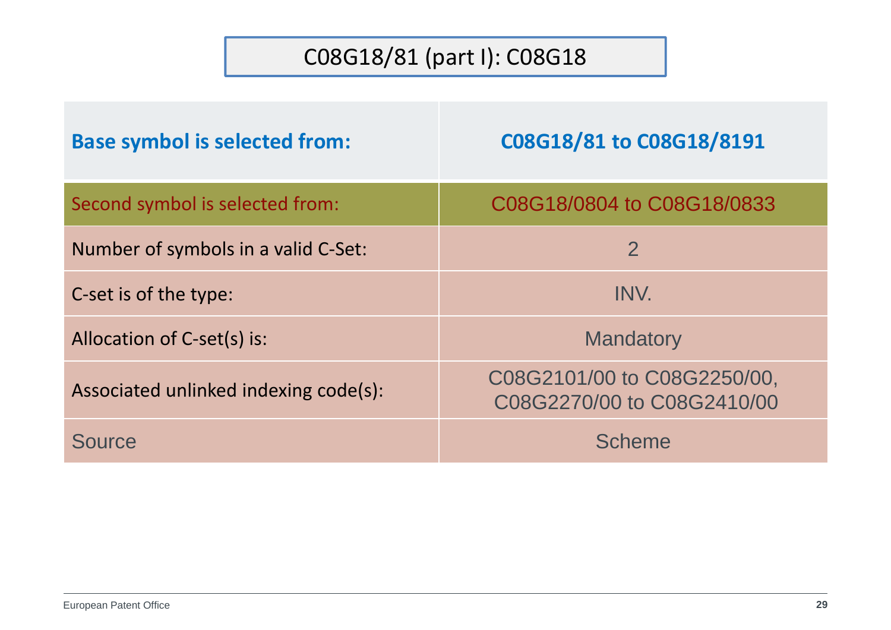## C08G18/81 (part I): C08G18

| <b>Base symbol is selected from:</b>  | C08G18/81 to C08G18/8191                                  |
|---------------------------------------|-----------------------------------------------------------|
| Second symbol is selected from:       | C08G18/0804 to C08G18/0833                                |
| Number of symbols in a valid C-Set:   | $\overline{2}$                                            |
| C-set is of the type:                 | INV.                                                      |
| Allocation of C-set(s) is:            | <b>Mandatory</b>                                          |
| Associated unlinked indexing code(s): | C08G2101/00 to C08G2250/00,<br>C08G2270/00 to C08G2410/00 |
| Source                                | <b>Scheme</b>                                             |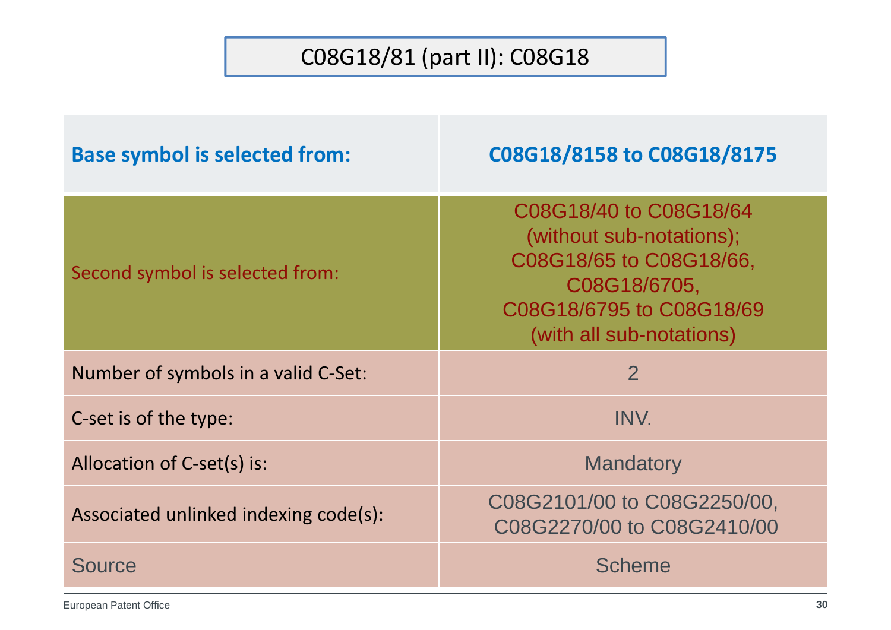## C08G18/81 (part II): C08G18

| <b>Base symbol is selected from:</b>  | C08G18/8158 to C08G18/8175                                                                                                                            |
|---------------------------------------|-------------------------------------------------------------------------------------------------------------------------------------------------------|
| Second symbol is selected from:       | C08G18/40 to C08G18/64<br>(without sub-notations);<br>C08G18/65 to C08G18/66,<br>C08G18/6705,<br>C08G18/6795 to C08G18/69<br>(with all sub-notations) |
| Number of symbols in a valid C-Set:   | $\overline{2}$                                                                                                                                        |
| C-set is of the type:                 | INV.                                                                                                                                                  |
| Allocation of C-set(s) is:            | <b>Mandatory</b>                                                                                                                                      |
| Associated unlinked indexing code(s): | C08G2101/00 to C08G2250/00,<br>C08G2270/00 to C08G2410/00                                                                                             |
| <b>Source</b>                         | <b>Scheme</b>                                                                                                                                         |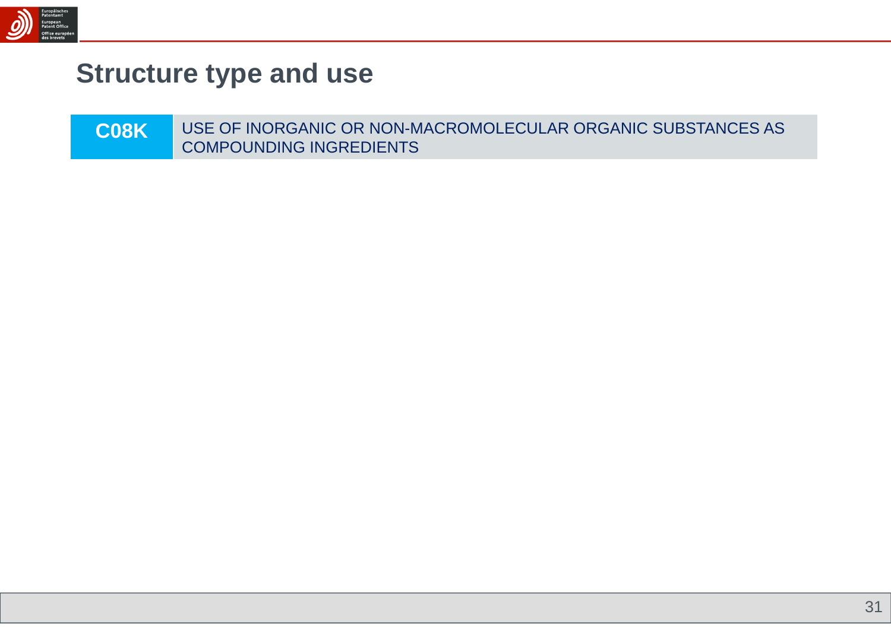

## **Structure type and use**

| <b>COSKI</b> | USE OF INORGANIC OR NON-MACROMOLECULAR ORGANIC SUBSTANCES AS |
|--------------|--------------------------------------------------------------|
|              | COMPOUNDING INGREDIENTS                                      |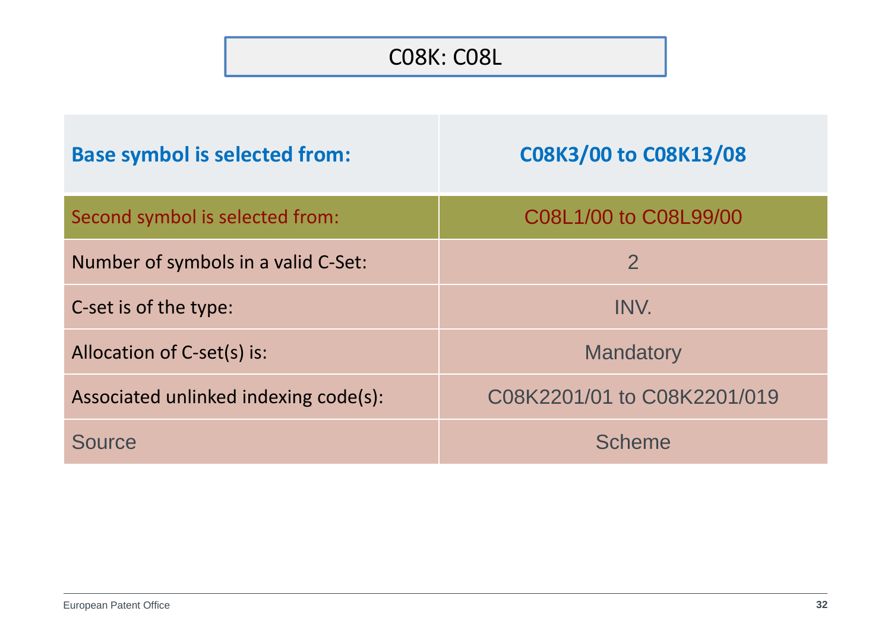### C08K: C08L

| <b>Base symbol is selected from:</b>  | C08K3/00 to C08K13/08       |
|---------------------------------------|-----------------------------|
| Second symbol is selected from:       | C08L1/00 to C08L99/00       |
| Number of symbols in a valid C-Set:   | $\overline{2}$              |
| C-set is of the type:                 | INV.                        |
| Allocation of C-set(s) is:            | <b>Mandatory</b>            |
| Associated unlinked indexing code(s): | C08K2201/01 to C08K2201/019 |
| Source                                | <b>Scheme</b>               |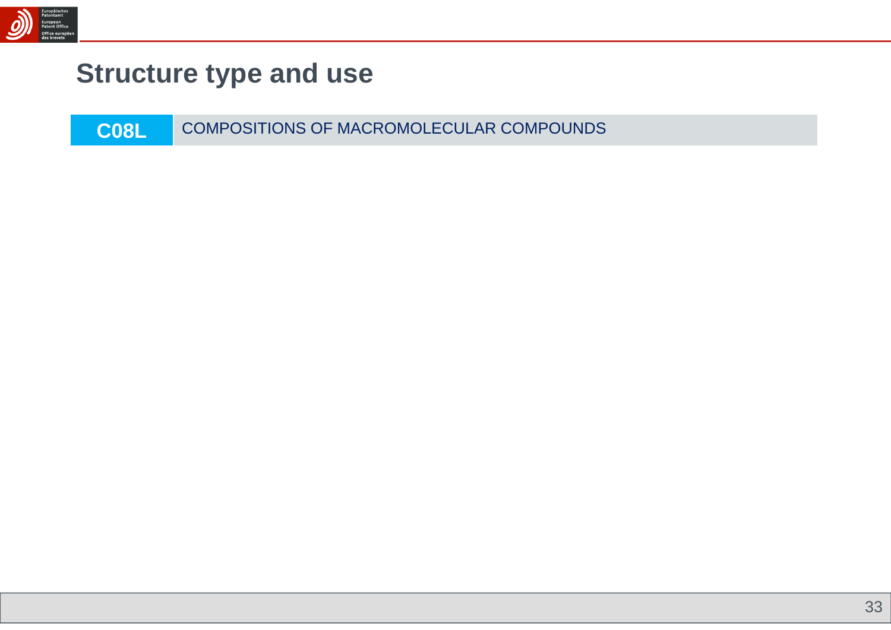

## **Structure type and use**

**C08L**COMPOSITIONS OF MACROMOLECULAR COMPOUNDS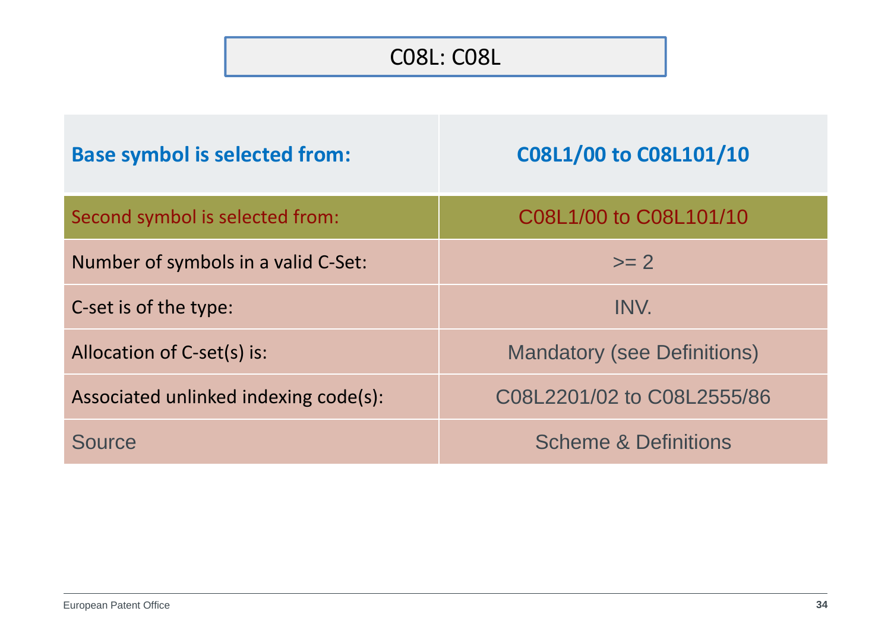### C08L: C08L

| <b>Base symbol is selected from:</b>  | C08L1/00 to C08L101/10             |
|---------------------------------------|------------------------------------|
| Second symbol is selected from:       | C08L1/00 to C08L101/10             |
| Number of symbols in a valid C-Set:   | $\geq$ $\geq$ $\geq$               |
| C-set is of the type:                 | INV.                               |
| Allocation of C-set(s) is:            | <b>Mandatory (see Definitions)</b> |
| Associated unlinked indexing code(s): | C08L2201/02 to C08L2555/86         |
| Source                                | <b>Scheme &amp; Definitions</b>    |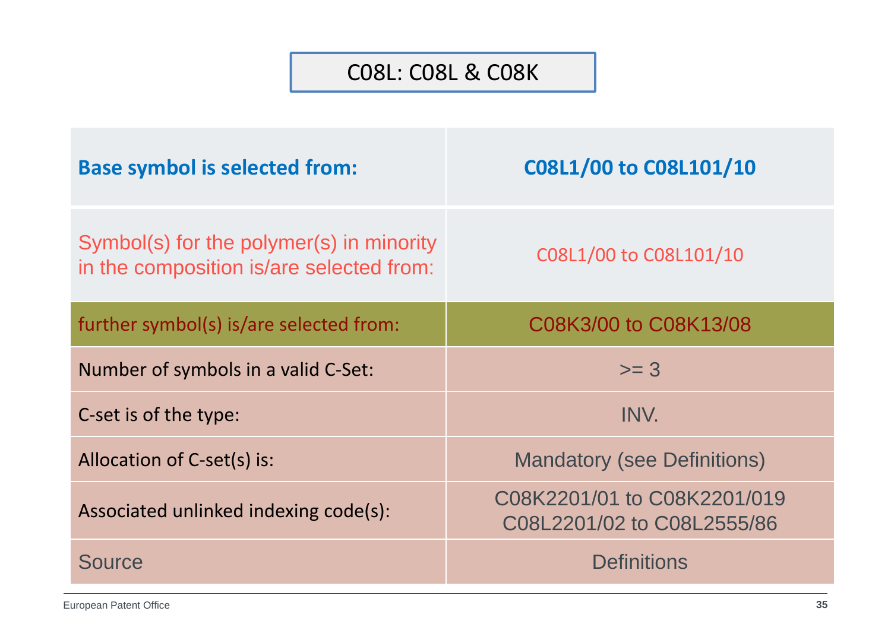#### C08L: C08L & C08K

| <b>Base symbol is selected from:</b>                                                 | C08L1/00 to C08L101/10                                    |
|--------------------------------------------------------------------------------------|-----------------------------------------------------------|
| Symbol(s) for the polymer(s) in minority<br>in the composition is/are selected from: | C08L1/00 to C08L101/10                                    |
| further symbol(s) is/are selected from:                                              | C08K3/00 to C08K13/08                                     |
| Number of symbols in a valid C-Set:                                                  | $>= 3$                                                    |
| C-set is of the type:                                                                | INV.                                                      |
| Allocation of C-set(s) is:                                                           | <b>Mandatory (see Definitions)</b>                        |
| Associated unlinked indexing code(s):                                                | C08K2201/01 to C08K2201/019<br>C08L2201/02 to C08L2555/86 |
| <b>Source</b>                                                                        | <b>Definitions</b>                                        |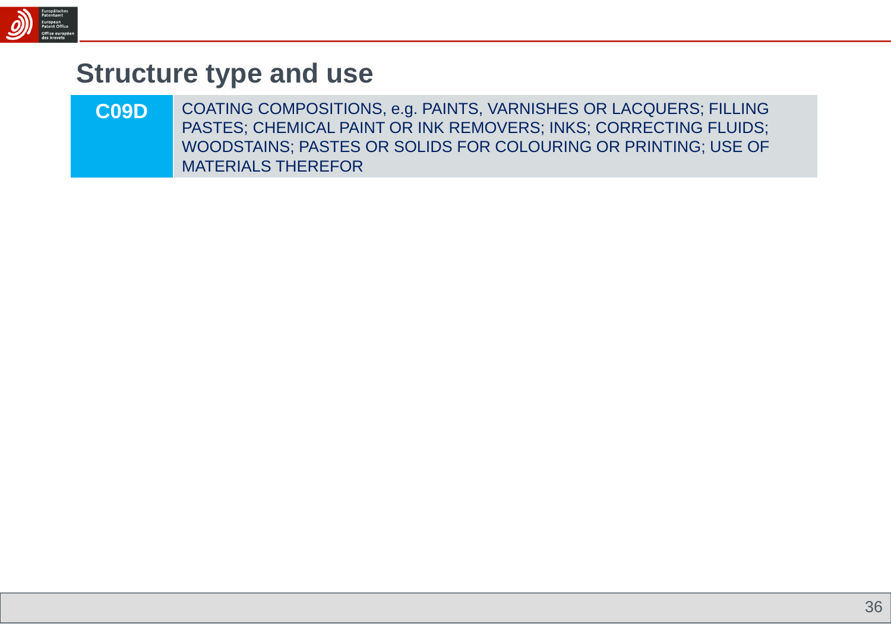

### **Structure type and use**

**C09D** COATING COMPOSITIONS, e.g. PAINTS, VARNISHES OR LACQUERS; FILLING PASTES; CHEMICAL PAINT OR INK REMOVERS; INKS; CORRECTING FLUIDS; WOODSTAINS; PASTES OR SOLIDS FOR COLOURING OR PRINTING; USE OF MATERIALS THEREFOR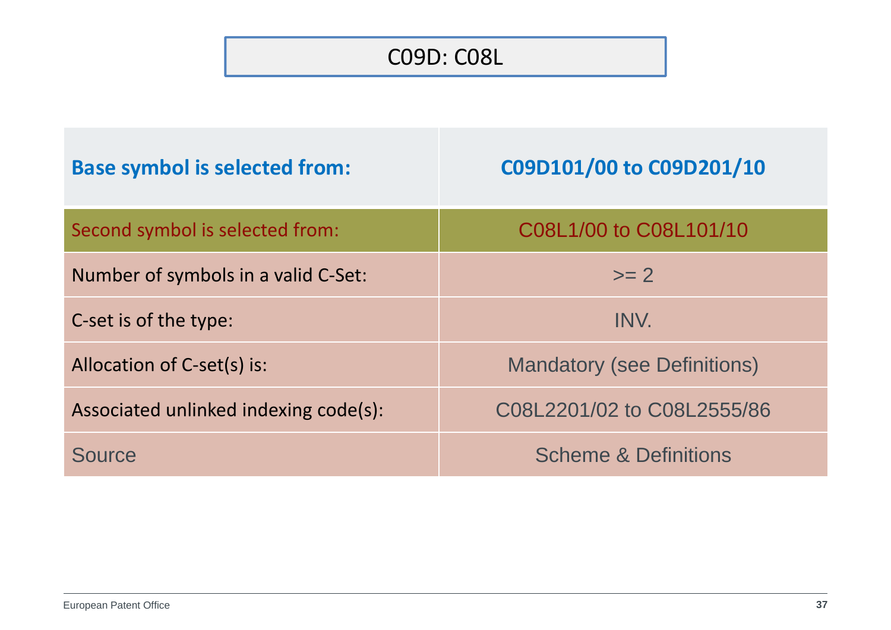### C09D: C08L

| <b>Base symbol is selected from:</b>  | C09D101/00 to C09D201/10           |
|---------------------------------------|------------------------------------|
| Second symbol is selected from:       | C08L1/00 to C08L101/10             |
| Number of symbols in a valid C-Set:   | $\mathsf{>=}2$                     |
| C-set is of the type:                 | INV.                               |
| Allocation of C-set(s) is:            | <b>Mandatory (see Definitions)</b> |
| Associated unlinked indexing code(s): | C08L2201/02 to C08L2555/86         |
| Source                                | <b>Scheme &amp; Definitions</b>    |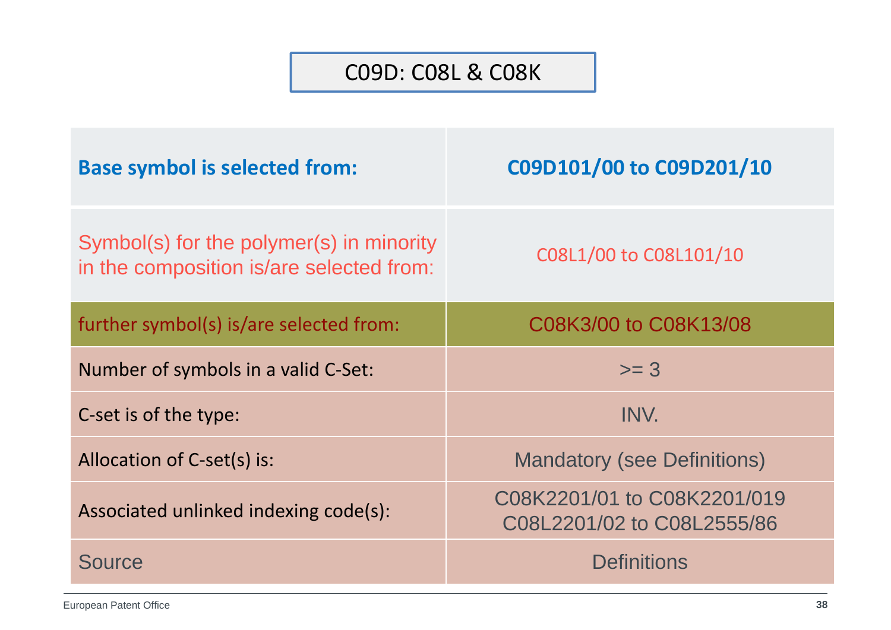#### C09D: C08L & C08K

| <b>Base symbol is selected from:</b>                                                 | C09D101/00 to C09D201/10                                  |
|--------------------------------------------------------------------------------------|-----------------------------------------------------------|
| Symbol(s) for the polymer(s) in minority<br>in the composition is/are selected from: | C08L1/00 to C08L101/10                                    |
| further symbol(s) is/are selected from:                                              | C08K3/00 to C08K13/08                                     |
| Number of symbols in a valid C-Set:                                                  | $>= 3$                                                    |
| C-set is of the type:                                                                | INV.                                                      |
| Allocation of C-set(s) is:                                                           | <b>Mandatory (see Definitions)</b>                        |
| Associated unlinked indexing code(s):                                                | C08K2201/01 to C08K2201/019<br>C08L2201/02 to C08L2555/86 |
| <b>Source</b>                                                                        | <b>Definitions</b>                                        |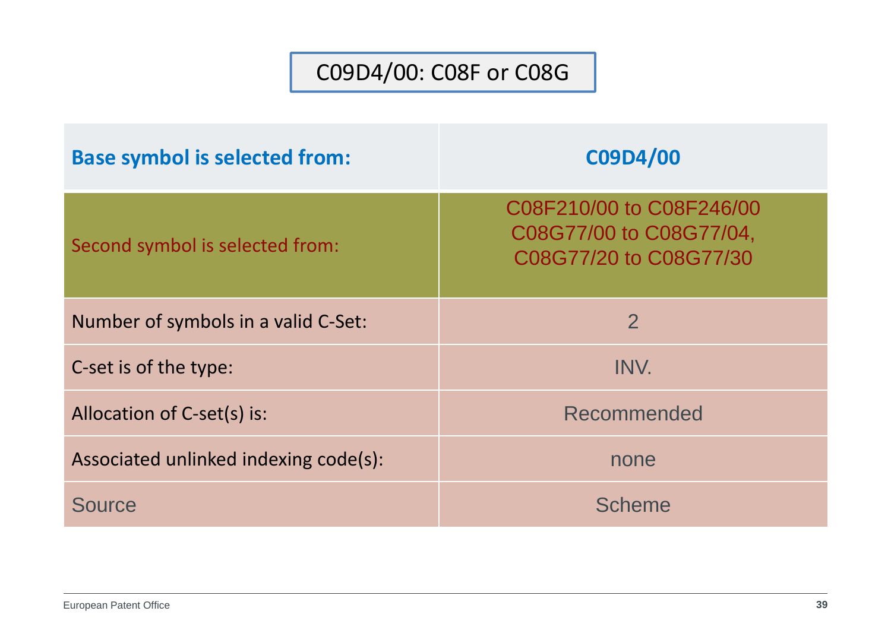### C09D4/00: C08F or C08G

| <b>Base symbol is selected from:</b>  | C09D4/00                                                                      |
|---------------------------------------|-------------------------------------------------------------------------------|
| Second symbol is selected from:       | C08F210/00 to C08F246/00<br>C08G77/00 to C08G77/04,<br>C08G77/20 to C08G77/30 |
| Number of symbols in a valid C-Set:   | $\overline{2}$                                                                |
| C-set is of the type:                 | INV.                                                                          |
| Allocation of C-set(s) is:            | Recommended                                                                   |
| Associated unlinked indexing code(s): | none                                                                          |
| Source                                | <b>Scheme</b>                                                                 |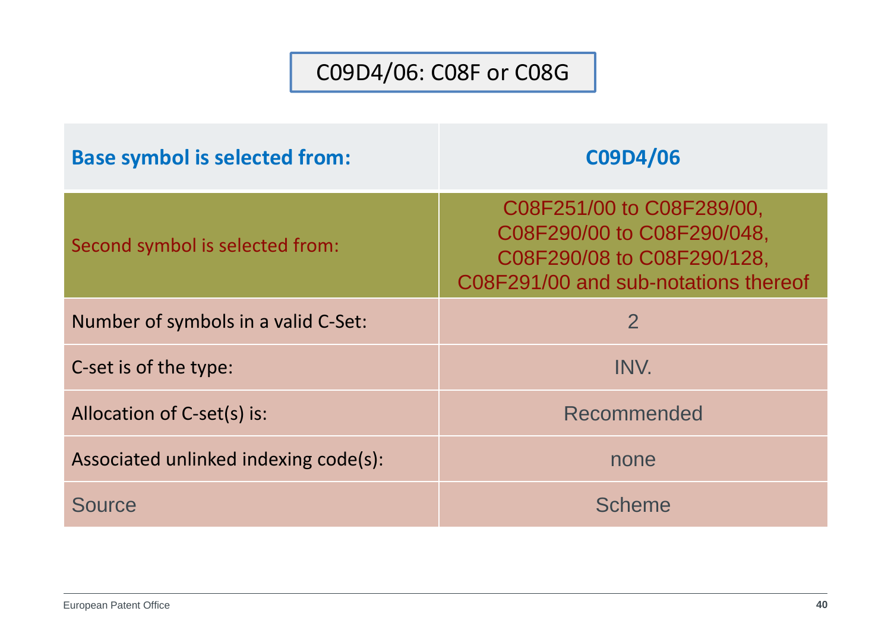### C09D4/06: C08F or C08G

| <b>Base symbol is selected from:</b>  | C09D4/06                                                                                                                      |
|---------------------------------------|-------------------------------------------------------------------------------------------------------------------------------|
| Second symbol is selected from:       | C08F251/00 to C08F289/00,<br>C08F290/00 to C08F290/048,<br>C08F290/08 to C08F290/128,<br>C08F291/00 and sub-notations thereof |
| Number of symbols in a valid C-Set:   | $\overline{2}$                                                                                                                |
| C-set is of the type:                 | INV.                                                                                                                          |
| Allocation of C-set(s) is:            | Recommended                                                                                                                   |
| Associated unlinked indexing code(s): | none                                                                                                                          |
| Source                                | Scheme                                                                                                                        |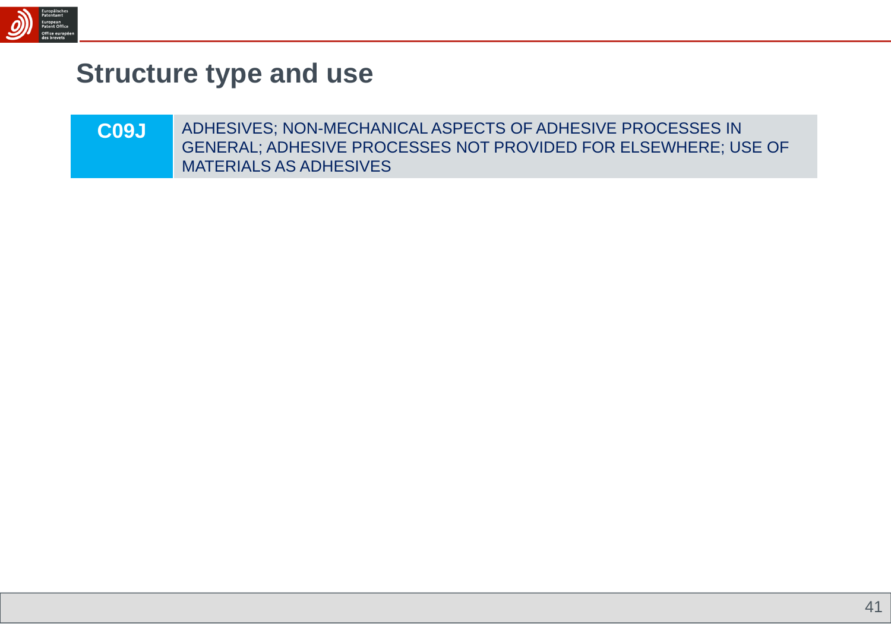

## **Structure type and use**

| C <sub>09</sub> J | ADHESIVES; NON-MECHANICAL ASPECTS OF ADHESIVE PROCESSES IN     |
|-------------------|----------------------------------------------------------------|
|                   | GENERAL; ADHESIVE PROCESSES NOT PROVIDED FOR ELSEWHERE; USE OF |
|                   | <b>MATERIALS AS ADHESIVES</b>                                  |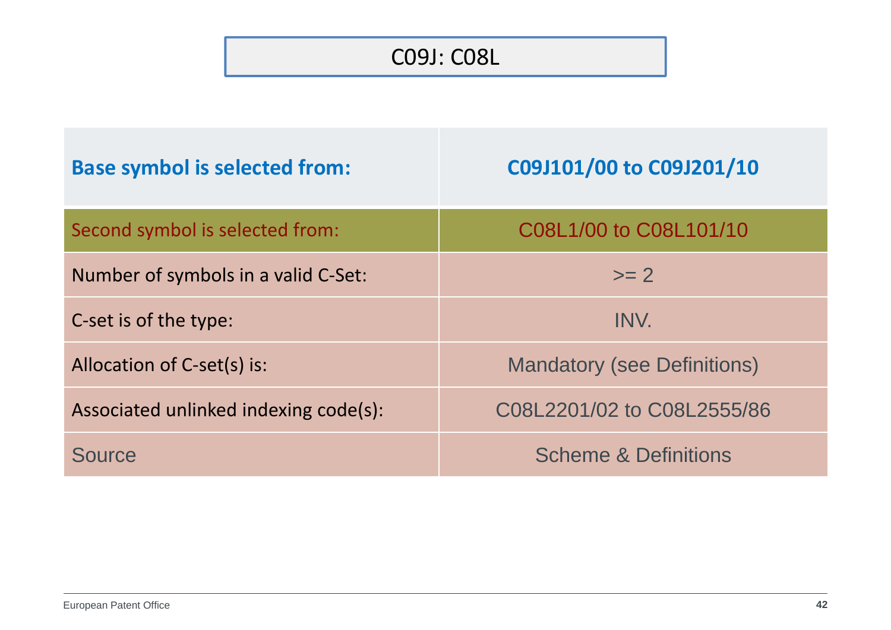### C09J: C08L

| <b>Base symbol is selected from:</b>  | C09J101/00 to C09J201/10           |
|---------------------------------------|------------------------------------|
| Second symbol is selected from:       | C08L1/00 to C08L101/10             |
| Number of symbols in a valid C-Set:   | $\mathsf{>=}2$                     |
| C-set is of the type:                 | INV.                               |
| Allocation of C-set(s) is:            | <b>Mandatory (see Definitions)</b> |
| Associated unlinked indexing code(s): | C08L2201/02 to C08L2555/86         |
| Source                                | <b>Scheme &amp; Definitions</b>    |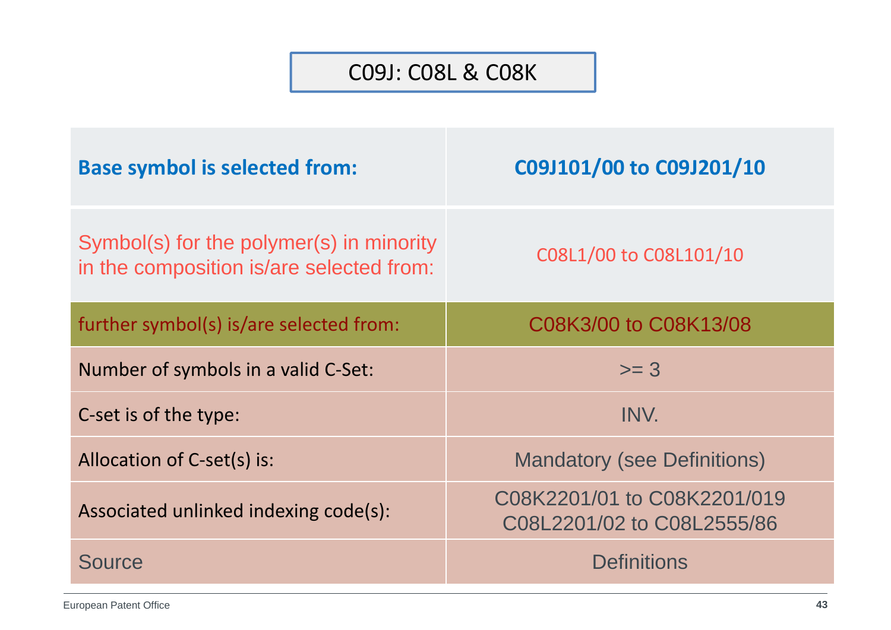#### C09J: C08L & C08K

| <b>Base symbol is selected from:</b>                                                 | C09J101/00 to C09J201/10                                  |
|--------------------------------------------------------------------------------------|-----------------------------------------------------------|
| Symbol(s) for the polymer(s) in minority<br>in the composition is/are selected from: | C08L1/00 to C08L101/10                                    |
| further symbol(s) is/are selected from:                                              | C08K3/00 to C08K13/08                                     |
| Number of symbols in a valid C-Set:                                                  | $>= 3$                                                    |
| C-set is of the type:                                                                | INV.                                                      |
| Allocation of C-set(s) is:                                                           | <b>Mandatory (see Definitions)</b>                        |
| Associated unlinked indexing code(s):                                                | C08K2201/01 to C08K2201/019<br>C08L2201/02 to C08L2555/86 |
| <b>Source</b>                                                                        | <b>Definitions</b>                                        |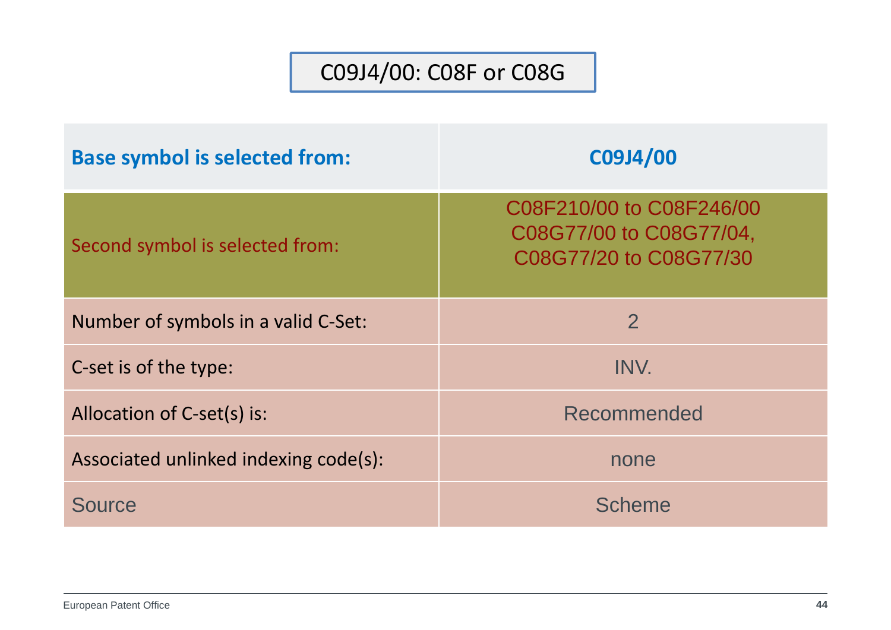### C09J4/00: C08F or C08G

| <b>Base symbol is selected from:</b>  | C09J4/00                                                                      |
|---------------------------------------|-------------------------------------------------------------------------------|
| Second symbol is selected from:       | C08F210/00 to C08F246/00<br>C08G77/00 to C08G77/04,<br>C08G77/20 to C08G77/30 |
| Number of symbols in a valid C-Set:   | $\overline{2}$                                                                |
| C-set is of the type:                 | INV.                                                                          |
| Allocation of C-set(s) is:            | Recommended                                                                   |
| Associated unlinked indexing code(s): | none                                                                          |
| Source                                | <b>Scheme</b>                                                                 |